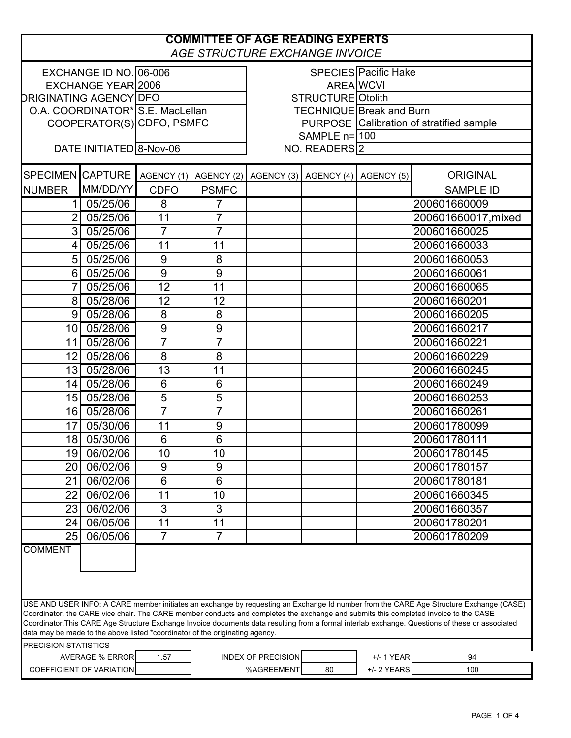|                                                                                                                                                                                                                                                                                                                                                                          |                                        |                 |                | <b>COMMITTEE OF AGE READING EXPERTS</b><br><b>AGE STRUCTURE EXCHANGE INVOICE</b> |                                  |                                          |                     |
|--------------------------------------------------------------------------------------------------------------------------------------------------------------------------------------------------------------------------------------------------------------------------------------------------------------------------------------------------------------------------|----------------------------------------|-----------------|----------------|----------------------------------------------------------------------------------|----------------------------------|------------------------------------------|---------------------|
| EXCHANGE ID NO. 06-006                                                                                                                                                                                                                                                                                                                                                   |                                        |                 |                |                                                                                  |                                  | SPECIES Pacific Hake                     |                     |
| EXCHANGE YEAR 2006                                                                                                                                                                                                                                                                                                                                                       |                                        |                 |                |                                                                                  |                                  | <b>AREA WCVI</b>                         |                     |
| <b>DRIGINATING AGENCY DFO</b>                                                                                                                                                                                                                                                                                                                                            |                                        |                 |                | <b>STRUCTURE</b> Otolith                                                         |                                  |                                          |                     |
| O.A. COORDINATOR* S.E. MacLellan                                                                                                                                                                                                                                                                                                                                         |                                        |                 |                |                                                                                  |                                  | TECHNIQUE Break and Burn                 |                     |
| COOPERATOR(S) CDFO, PSMFC                                                                                                                                                                                                                                                                                                                                                |                                        |                 |                |                                                                                  |                                  | PURPOSE Calibration of stratified sample |                     |
|                                                                                                                                                                                                                                                                                                                                                                          |                                        |                 |                | SAMPLE $n=100$                                                                   |                                  |                                          |                     |
| DATE INITIATED 8-Nov-06                                                                                                                                                                                                                                                                                                                                                  |                                        |                 |                | NO. READERS <sup>2</sup>                                                         |                                  |                                          |                     |
|                                                                                                                                                                                                                                                                                                                                                                          | SPECIMEN CAPTURE AGENCY (1) AGENCY (2) |                 |                |                                                                                  | AGENCY (3) AGENCY (4) AGENCY (5) |                                          | <b>ORIGINAL</b>     |
| <b>NUMBER</b>                                                                                                                                                                                                                                                                                                                                                            | MM/DD/YY                               | <b>CDFO</b>     | <b>PSMFC</b>   |                                                                                  |                                  |                                          | <b>SAMPLE ID</b>    |
| 11                                                                                                                                                                                                                                                                                                                                                                       | 05/25/06                               | 8               | 7              |                                                                                  |                                  |                                          | 200601660009        |
| $2\sqrt{ }$                                                                                                                                                                                                                                                                                                                                                              | 05/25/06                               | 11              | $\overline{7}$ |                                                                                  |                                  |                                          | 200601660017, mixed |
| $3\vert$                                                                                                                                                                                                                                                                                                                                                                 | 05/25/06                               | $\overline{7}$  | $\overline{7}$ |                                                                                  |                                  |                                          | 200601660025        |
| 4 <sup>1</sup>                                                                                                                                                                                                                                                                                                                                                           | 05/25/06                               | 11              | 11             |                                                                                  |                                  |                                          | 200601660033        |
| 5 <sup>1</sup>                                                                                                                                                                                                                                                                                                                                                           | 05/25/06                               | $9\,$           | 8              |                                                                                  |                                  |                                          | 200601660053        |
| 6 <sup>1</sup>                                                                                                                                                                                                                                                                                                                                                           | 05/25/06                               | 9               | 9              |                                                                                  |                                  |                                          | 200601660061        |
|                                                                                                                                                                                                                                                                                                                                                                          | 05/25/06                               | 12              | 11             |                                                                                  |                                  |                                          | 200601660065        |
| $8\sqrt{ }$                                                                                                                                                                                                                                                                                                                                                              | 05/28/06                               | 12              | 12             |                                                                                  |                                  |                                          | 200601660201        |
| 9 <sub>l</sub>                                                                                                                                                                                                                                                                                                                                                           | 05/28/06                               | $\overline{8}$  | 8              |                                                                                  |                                  |                                          | 200601660205        |
|                                                                                                                                                                                                                                                                                                                                                                          | 10 05/28/06                            | $\overline{9}$  | $\overline{9}$ |                                                                                  |                                  |                                          | 200601660217        |
| 11                                                                                                                                                                                                                                                                                                                                                                       | 05/28/06                               | $\overline{7}$  | $\overline{7}$ |                                                                                  |                                  |                                          | 200601660221        |
| 12 <sub>l</sub>                                                                                                                                                                                                                                                                                                                                                          | 05/28/06                               | 8               | 8              |                                                                                  |                                  |                                          | 200601660229        |
| 13                                                                                                                                                                                                                                                                                                                                                                       | 05/28/06                               | 13              | 11             |                                                                                  |                                  |                                          | 200601660245        |
|                                                                                                                                                                                                                                                                                                                                                                          | 14 05/28/06                            | $6\phantom{1}6$ | 6              |                                                                                  |                                  |                                          | 200601660249        |
|                                                                                                                                                                                                                                                                                                                                                                          | 15 05/28/06                            | $\overline{5}$  | $\overline{5}$ |                                                                                  |                                  |                                          | 200601660253        |
|                                                                                                                                                                                                                                                                                                                                                                          | 16 05/28/06                            | $\overline{7}$  | $\overline{7}$ |                                                                                  |                                  |                                          | 200601660261        |
| 17                                                                                                                                                                                                                                                                                                                                                                       | 05/30/06                               | 11              | 9              |                                                                                  |                                  |                                          | 200601780099        |
| 18 <sup>1</sup>                                                                                                                                                                                                                                                                                                                                                          | 05/30/06                               | 6               | 6              |                                                                                  |                                  |                                          | 200601780111        |
|                                                                                                                                                                                                                                                                                                                                                                          | 19 06/02/06                            | 10              | 10             |                                                                                  |                                  |                                          | 200601780145        |
| 20                                                                                                                                                                                                                                                                                                                                                                       | 06/02/06                               | 9               | 9              |                                                                                  |                                  |                                          | 200601780157        |
| 21                                                                                                                                                                                                                                                                                                                                                                       | 06/02/06                               | $6\phantom{1}6$ | 6              |                                                                                  |                                  |                                          | 200601780181        |
| 22                                                                                                                                                                                                                                                                                                                                                                       | 06/02/06                               | 11              | 10             |                                                                                  |                                  |                                          | 200601660345        |
| 23                                                                                                                                                                                                                                                                                                                                                                       | 06/02/06                               | 3               | 3              |                                                                                  |                                  |                                          | 200601660357        |
| 24                                                                                                                                                                                                                                                                                                                                                                       | 06/05/06                               | 11              | 11             |                                                                                  |                                  |                                          | 200601780201        |
| 25                                                                                                                                                                                                                                                                                                                                                                       | 06/05/06                               | $\overline{7}$  | $\overline{7}$ |                                                                                  |                                  |                                          | 200601780209        |
| <b>COMMENT</b><br>USE AND USER INFO: A CARE member initiates an exchange by requesting an Exchange Id number from the CARE Age Structure Exchange (CASE)                                                                                                                                                                                                                 |                                        |                 |                |                                                                                  |                                  |                                          |                     |
| Coordinator, the CARE vice chair. The CARE member conducts and completes the exchange and submits this completed invoice to the CASE<br>Coordinator. This CARE Age Structure Exchange Invoice documents data resulting from a formal interlab exchange. Questions of these or associated<br>data may be made to the above listed *coordinator of the originating agency. |                                        |                 |                |                                                                                  |                                  |                                          |                     |
| <b>PRECISION STATISTICS</b>                                                                                                                                                                                                                                                                                                                                              |                                        |                 |                |                                                                                  |                                  |                                          |                     |
|                                                                                                                                                                                                                                                                                                                                                                          | <b>AVERAGE % ERROR</b>                 | 1.57            |                | <b>INDEX OF PRECISION</b>                                                        |                                  | +/- 1 YEAR                               | 94                  |
|                                                                                                                                                                                                                                                                                                                                                                          | COEFFICIENT OF VARIATION               |                 |                | %AGREEMENT                                                                       | 80                               | +/- 2 YEARS                              | 100                 |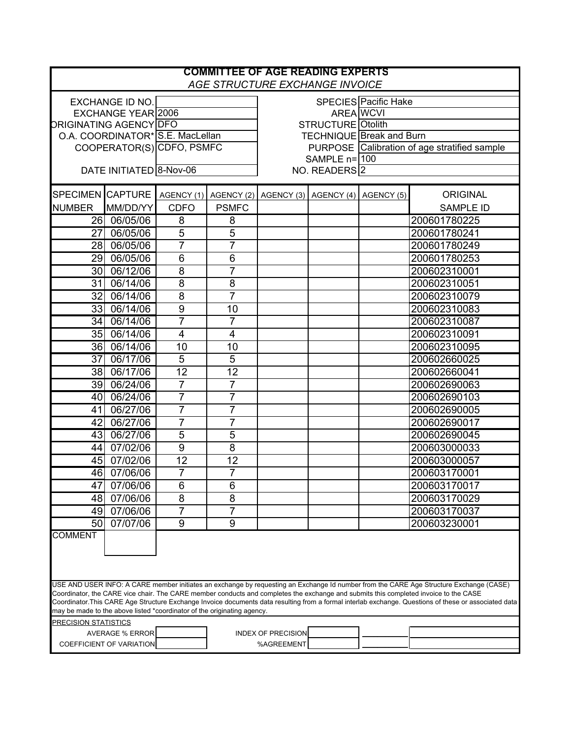| <b>COMMITTEE OF AGE READING EXPERTS</b><br>AGE STRUCTURE EXCHANGE INVOICE                                                                                                                                                                                                                                                                                                                                                                                                                                         |                         |                |                           |                                              |                                                        |  |                  |  |
|-------------------------------------------------------------------------------------------------------------------------------------------------------------------------------------------------------------------------------------------------------------------------------------------------------------------------------------------------------------------------------------------------------------------------------------------------------------------------------------------------------------------|-------------------------|----------------|---------------------------|----------------------------------------------|--------------------------------------------------------|--|------------------|--|
|                                                                                                                                                                                                                                                                                                                                                                                                                                                                                                                   | <b>EXCHANGE ID NO.</b>  |                |                           | <b>SPECIES</b> Pacific Hake                  |                                                        |  |                  |  |
| <b>EXCHANGE YEAR 2006</b>                                                                                                                                                                                                                                                                                                                                                                                                                                                                                         |                         |                |                           | <b>AREA</b> WCVI                             |                                                        |  |                  |  |
| <b>ORIGINATING AGENCY DFO</b>                                                                                                                                                                                                                                                                                                                                                                                                                                                                                     |                         |                |                           | <b>STRUCTURE</b> Otolith                     |                                                        |  |                  |  |
| O.A. COORDINATOR* S.E. MacLellan                                                                                                                                                                                                                                                                                                                                                                                                                                                                                  |                         |                |                           | <b>TECHNIQUE Break and Burn</b>              |                                                        |  |                  |  |
| COOPERATOR(S) CDFO, PSMFC                                                                                                                                                                                                                                                                                                                                                                                                                                                                                         |                         |                |                           | PURPOSE Calibration of age stratified sample |                                                        |  |                  |  |
|                                                                                                                                                                                                                                                                                                                                                                                                                                                                                                                   |                         |                |                           | SAMPLE $n=100$                               |                                                        |  |                  |  |
|                                                                                                                                                                                                                                                                                                                                                                                                                                                                                                                   | DATE INITIATED 8-Nov-06 |                |                           |                                              | NO. READERS <sup>2</sup>                               |  |                  |  |
| <b>SPECIMEN CAPTURE</b>                                                                                                                                                                                                                                                                                                                                                                                                                                                                                           |                         |                |                           |                                              | AGENCY (1) AGENCY (2) AGENCY (3) AGENCY (4) AGENCY (5) |  | <b>ORIGINAL</b>  |  |
| <b>NUMBER</b>                                                                                                                                                                                                                                                                                                                                                                                                                                                                                                     | MM/DD/YY                | <b>CDFO</b>    | <b>PSMFC</b>              |                                              |                                                        |  | <b>SAMPLE ID</b> |  |
|                                                                                                                                                                                                                                                                                                                                                                                                                                                                                                                   | 26 06/05/06             | 8              | 8                         |                                              |                                                        |  | 200601780225     |  |
| 27                                                                                                                                                                                                                                                                                                                                                                                                                                                                                                                | 06/05/06                | $\overline{5}$ | $\overline{5}$            |                                              |                                                        |  | 200601780241     |  |
|                                                                                                                                                                                                                                                                                                                                                                                                                                                                                                                   | 28 06/05/06             | $\overline{7}$ | $\overline{7}$            |                                              |                                                        |  | 200601780249     |  |
| 29                                                                                                                                                                                                                                                                                                                                                                                                                                                                                                                | 06/05/06                | 6              | 6                         |                                              |                                                        |  | 200601780253     |  |
| 30I                                                                                                                                                                                                                                                                                                                                                                                                                                                                                                               | 06/12/06                | 8              | $\overline{7}$            |                                              |                                                        |  | 200602310001     |  |
| 31                                                                                                                                                                                                                                                                                                                                                                                                                                                                                                                | 06/14/06                | 8              | 8                         |                                              |                                                        |  | 200602310051     |  |
| 32 <sub>l</sub>                                                                                                                                                                                                                                                                                                                                                                                                                                                                                                   | 06/14/06                | $\overline{8}$ | $\overline{7}$            |                                              |                                                        |  | 200602310079     |  |
|                                                                                                                                                                                                                                                                                                                                                                                                                                                                                                                   | 33 06/14/06             | 9              | 10                        |                                              |                                                        |  | 200602310083     |  |
| 34 I                                                                                                                                                                                                                                                                                                                                                                                                                                                                                                              | 06/14/06                | $\overline{7}$ | $\overline{7}$            |                                              |                                                        |  | 200602310087     |  |
|                                                                                                                                                                                                                                                                                                                                                                                                                                                                                                                   | 35 06/14/06             | 4              | 4                         |                                              |                                                        |  | 200602310091     |  |
|                                                                                                                                                                                                                                                                                                                                                                                                                                                                                                                   | 36 06/14/06             | 10             | 10                        |                                              |                                                        |  | 200602310095     |  |
| 37                                                                                                                                                                                                                                                                                                                                                                                                                                                                                                                | 06/17/06                | $\overline{5}$ | 5                         |                                              |                                                        |  | 200602660025     |  |
| 38 I                                                                                                                                                                                                                                                                                                                                                                                                                                                                                                              | 06/17/06                | 12             | 12                        |                                              |                                                        |  | 200602660041     |  |
|                                                                                                                                                                                                                                                                                                                                                                                                                                                                                                                   | 39 06/24/06             | 7              | $\overline{7}$            |                                              |                                                        |  | 200602690063     |  |
|                                                                                                                                                                                                                                                                                                                                                                                                                                                                                                                   | 40 06/24/06             | $\overline{7}$ | $\overline{7}$            |                                              |                                                        |  | 200602690103     |  |
| 41                                                                                                                                                                                                                                                                                                                                                                                                                                                                                                                | 06/27/06                | $\overline{7}$ | $\overline{7}$            |                                              |                                                        |  | 200602690005     |  |
| 42                                                                                                                                                                                                                                                                                                                                                                                                                                                                                                                | 06/27/06                | $\overline{7}$ | $\overline{7}$            |                                              |                                                        |  | 200602690017     |  |
| 43                                                                                                                                                                                                                                                                                                                                                                                                                                                                                                                | 06/27/06                | 5              | 5                         |                                              |                                                        |  | 200602690045     |  |
| 44                                                                                                                                                                                                                                                                                                                                                                                                                                                                                                                | 07/02/06                | $\overline{9}$ | 8                         |                                              |                                                        |  | 200603000033     |  |
|                                                                                                                                                                                                                                                                                                                                                                                                                                                                                                                   | 45 07/02/06             | 12             | 12                        |                                              |                                                        |  | 200603000057     |  |
| 46                                                                                                                                                                                                                                                                                                                                                                                                                                                                                                                | 07/06/06                | $\overline{7}$ | $\overline{7}$            |                                              |                                                        |  | 200603170001     |  |
| 47                                                                                                                                                                                                                                                                                                                                                                                                                                                                                                                | 07/06/06                | 6              | 6                         |                                              |                                                        |  | 200603170017     |  |
| 48                                                                                                                                                                                                                                                                                                                                                                                                                                                                                                                | 07/06/06                | 8              | 8                         |                                              |                                                        |  | 200603170029     |  |
| 49                                                                                                                                                                                                                                                                                                                                                                                                                                                                                                                | 07/06/06                | 7              | $\overline{7}$            |                                              |                                                        |  | 200603170037     |  |
| 50                                                                                                                                                                                                                                                                                                                                                                                                                                                                                                                | 07/07/06                | 9              | 9                         |                                              |                                                        |  | 200603230001     |  |
| <b>COMMENT</b>                                                                                                                                                                                                                                                                                                                                                                                                                                                                                                    |                         |                |                           |                                              |                                                        |  |                  |  |
|                                                                                                                                                                                                                                                                                                                                                                                                                                                                                                                   |                         |                |                           |                                              |                                                        |  |                  |  |
| USE AND USER INFO: A CARE member initiates an exchange by requesting an Exchange Id number from the CARE Age Structure Exchange (CASE)<br>Coordinator, the CARE vice chair. The CARE member conducts and completes the exchange and submits this completed invoice to the CASE<br>Coordinator.This CARE Age Structure Exchange Invoice documents data resulting from a formal interlab exchange. Questions of these or associated data<br>may be made to the above listed *coordinator of the originating agency. |                         |                |                           |                                              |                                                        |  |                  |  |
| PRECISION STATISTICS                                                                                                                                                                                                                                                                                                                                                                                                                                                                                              |                         |                |                           |                                              |                                                        |  |                  |  |
| <b>AVERAGE % ERROR</b><br>COEFFICIENT OF VARIATION                                                                                                                                                                                                                                                                                                                                                                                                                                                                |                         |                | <b>INDEX OF PRECISION</b> |                                              |                                                        |  |                  |  |
|                                                                                                                                                                                                                                                                                                                                                                                                                                                                                                                   |                         |                |                           | %AGREEMENT                                   |                                                        |  |                  |  |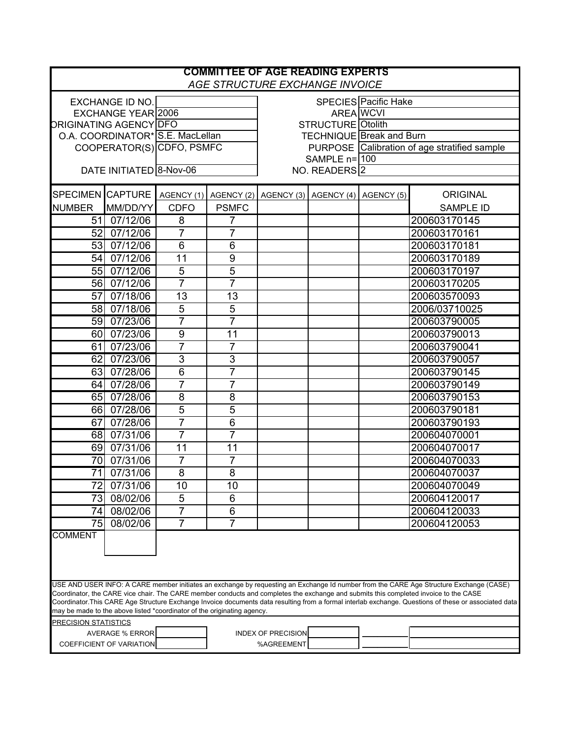| <b>COMMITTEE OF AGE READING EXPERTS</b><br>AGE STRUCTURE EXCHANGE INVOICE                                                                                                                                                                                                                                                                                                                                                                                                                                         |                         |                |                                                        |                                              |                  |  |                  |  |
|-------------------------------------------------------------------------------------------------------------------------------------------------------------------------------------------------------------------------------------------------------------------------------------------------------------------------------------------------------------------------------------------------------------------------------------------------------------------------------------------------------------------|-------------------------|----------------|--------------------------------------------------------|----------------------------------------------|------------------|--|------------------|--|
|                                                                                                                                                                                                                                                                                                                                                                                                                                                                                                                   | <b>EXCHANGE ID NO.</b>  |                |                                                        | <b>SPECIES</b> Pacific Hake                  |                  |  |                  |  |
| <b>EXCHANGE YEAR 2006</b>                                                                                                                                                                                                                                                                                                                                                                                                                                                                                         |                         |                |                                                        |                                              | <b>AREA</b> WCVI |  |                  |  |
| <b>ORIGINATING AGENCY DFO</b>                                                                                                                                                                                                                                                                                                                                                                                                                                                                                     |                         |                |                                                        | <b>STRUCTURE</b> Otolith                     |                  |  |                  |  |
| O.A. COORDINATOR* S.E. MacLellan                                                                                                                                                                                                                                                                                                                                                                                                                                                                                  |                         |                |                                                        | <b>TECHNIQUE Break and Burn</b>              |                  |  |                  |  |
| COOPERATOR(S) CDFO, PSMFC                                                                                                                                                                                                                                                                                                                                                                                                                                                                                         |                         |                |                                                        | PURPOSE Calibration of age stratified sample |                  |  |                  |  |
|                                                                                                                                                                                                                                                                                                                                                                                                                                                                                                                   |                         |                |                                                        | SAMPLE $n=100$                               |                  |  |                  |  |
|                                                                                                                                                                                                                                                                                                                                                                                                                                                                                                                   | DATE INITIATED 8-Nov-06 |                |                                                        | NO. READERS <sup>2</sup>                     |                  |  |                  |  |
| <b>SPECIMEN CAPTURE</b>                                                                                                                                                                                                                                                                                                                                                                                                                                                                                           |                         |                | AGENCY (1) AGENCY (2) AGENCY (3) AGENCY (4) AGENCY (5) |                                              |                  |  | <b>ORIGINAL</b>  |  |
| <b>NUMBER</b>                                                                                                                                                                                                                                                                                                                                                                                                                                                                                                     | MM/DD/YY                | <b>CDFO</b>    | <b>PSMFC</b>                                           |                                              |                  |  | <b>SAMPLE ID</b> |  |
|                                                                                                                                                                                                                                                                                                                                                                                                                                                                                                                   | 51 07/12/06             | 8              | $\overline{7}$                                         |                                              |                  |  | 200603170145     |  |
| 52                                                                                                                                                                                                                                                                                                                                                                                                                                                                                                                | 07/12/06                | 7              | 7                                                      |                                              |                  |  | 200603170161     |  |
|                                                                                                                                                                                                                                                                                                                                                                                                                                                                                                                   | 53 07/12/06             | $6\phantom{1}$ | 6                                                      |                                              |                  |  | 200603170181     |  |
| 54                                                                                                                                                                                                                                                                                                                                                                                                                                                                                                                | $\sqrt{07/12/06}$       | 11             | 9                                                      |                                              |                  |  | 200603170189     |  |
|                                                                                                                                                                                                                                                                                                                                                                                                                                                                                                                   | 55 07/12/06             | 5              | $\overline{5}$                                         |                                              |                  |  | 200603170197     |  |
|                                                                                                                                                                                                                                                                                                                                                                                                                                                                                                                   | 56 07/12/06             | 7              | 7                                                      |                                              |                  |  | 200603170205     |  |
| 57                                                                                                                                                                                                                                                                                                                                                                                                                                                                                                                | 07/18/06                | 13             | 13                                                     |                                              |                  |  | 200603570093     |  |
|                                                                                                                                                                                                                                                                                                                                                                                                                                                                                                                   | 58 07/18/06             | 5              | 5                                                      |                                              |                  |  | 2006/03710025    |  |
|                                                                                                                                                                                                                                                                                                                                                                                                                                                                                                                   | 59 07/23/06             | $\overline{7}$ | $\overline{7}$                                         |                                              |                  |  | 200603790005     |  |
|                                                                                                                                                                                                                                                                                                                                                                                                                                                                                                                   | 60 07/23/06             | 9              | 11                                                     |                                              |                  |  | 200603790013     |  |
|                                                                                                                                                                                                                                                                                                                                                                                                                                                                                                                   | 61 07/23/06             | $\overline{7}$ | $\overline{7}$                                         |                                              |                  |  | 200603790041     |  |
|                                                                                                                                                                                                                                                                                                                                                                                                                                                                                                                   | 62 07/23/06             | 3              | 3                                                      |                                              |                  |  | 200603790057     |  |
|                                                                                                                                                                                                                                                                                                                                                                                                                                                                                                                   | 63 07/28/06             | 6              | 7                                                      |                                              |                  |  | 200603790145     |  |
|                                                                                                                                                                                                                                                                                                                                                                                                                                                                                                                   | 64 07/28/06             | 7              | 7                                                      |                                              |                  |  | 200603790149     |  |
|                                                                                                                                                                                                                                                                                                                                                                                                                                                                                                                   | 65 07/28/06             | 8              | 8                                                      |                                              |                  |  | 200603790153     |  |
|                                                                                                                                                                                                                                                                                                                                                                                                                                                                                                                   | 66 07/28/06             | 5              | 5                                                      |                                              |                  |  | 200603790181     |  |
| 67                                                                                                                                                                                                                                                                                                                                                                                                                                                                                                                | 07/28/06                | $\overline{7}$ | 6                                                      |                                              |                  |  | 200603790193     |  |
|                                                                                                                                                                                                                                                                                                                                                                                                                                                                                                                   | 68 07/31/06             | $\overline{7}$ | $\overline{7}$                                         |                                              |                  |  | 200604070001     |  |
|                                                                                                                                                                                                                                                                                                                                                                                                                                                                                                                   | 69 07/31/06             | 11             | 11                                                     |                                              |                  |  | 200604070017     |  |
|                                                                                                                                                                                                                                                                                                                                                                                                                                                                                                                   | 70 07/31/06             | $\overline{7}$ | $\overline{7}$                                         |                                              |                  |  | 200604070033     |  |
| 71                                                                                                                                                                                                                                                                                                                                                                                                                                                                                                                | 07/31/06                | 8              | 8                                                      |                                              |                  |  | 200604070037     |  |
|                                                                                                                                                                                                                                                                                                                                                                                                                                                                                                                   |                         |                |                                                        |                                              |                  |  |                  |  |
| 72                                                                                                                                                                                                                                                                                                                                                                                                                                                                                                                | 07/31/06                | 10             | 10                                                     |                                              |                  |  | 200604070049     |  |
| 73                                                                                                                                                                                                                                                                                                                                                                                                                                                                                                                | 08/02/06                | 5              | 6                                                      |                                              |                  |  | 200604120017     |  |
| 74                                                                                                                                                                                                                                                                                                                                                                                                                                                                                                                | 08/02/06                | 7              | 6                                                      |                                              |                  |  | 200604120033     |  |
| 75                                                                                                                                                                                                                                                                                                                                                                                                                                                                                                                | 08/02/06                | 7              | 7                                                      |                                              |                  |  | 200604120053     |  |
| <b>COMMENT</b>                                                                                                                                                                                                                                                                                                                                                                                                                                                                                                    |                         |                |                                                        |                                              |                  |  |                  |  |
| USE AND USER INFO: A CARE member initiates an exchange by requesting an Exchange Id number from the CARE Age Structure Exchange (CASE)<br>Coordinator, the CARE vice chair. The CARE member conducts and completes the exchange and submits this completed invoice to the CASE<br>Coordinator.This CARE Age Structure Exchange Invoice documents data resulting from a formal interlab exchange. Questions of these or associated data<br>may be made to the above listed *coordinator of the originating agency. |                         |                |                                                        |                                              |                  |  |                  |  |
| PRECISION STATISTICS                                                                                                                                                                                                                                                                                                                                                                                                                                                                                              |                         |                |                                                        |                                              |                  |  |                  |  |
| <b>AVERAGE % ERROR</b><br>COEFFICIENT OF VARIATION                                                                                                                                                                                                                                                                                                                                                                                                                                                                |                         |                |                                                        | <b>INDEX OF PRECISION</b>                    |                  |  |                  |  |
|                                                                                                                                                                                                                                                                                                                                                                                                                                                                                                                   |                         |                |                                                        | %AGREEMENT                                   |                  |  |                  |  |